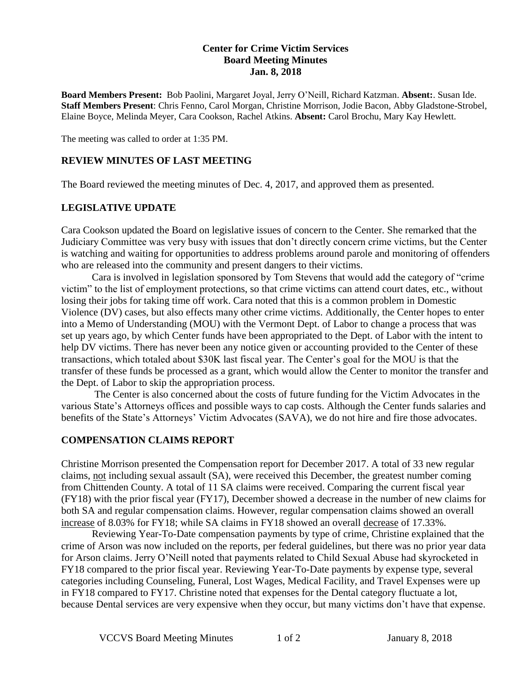## **Center for Crime Victim Services Board Meeting Minutes Jan. 8, 2018**

**Board Members Present:** Bob Paolini, Margaret Joyal, Jerry O'Neill, Richard Katzman. **Absent:**. Susan Ide. **Staff Members Present**: Chris Fenno, Carol Morgan, Christine Morrison, Jodie Bacon, Abby Gladstone-Strobel, Elaine Boyce, Melinda Meyer, Cara Cookson, Rachel Atkins. **Absent:** Carol Brochu, Mary Kay Hewlett.

The meeting was called to order at 1:35 PM.

## **REVIEW MINUTES OF LAST MEETING**

The Board reviewed the meeting minutes of Dec. 4, 2017, and approved them as presented.

## **LEGISLATIVE UPDATE**

Cara Cookson updated the Board on legislative issues of concern to the Center. She remarked that the Judiciary Committee was very busy with issues that don't directly concern crime victims, but the Center is watching and waiting for opportunities to address problems around parole and monitoring of offenders who are released into the community and present dangers to their victims.

Cara is involved in legislation sponsored by Tom Stevens that would add the category of "crime victim" to the list of employment protections, so that crime victims can attend court dates, etc., without losing their jobs for taking time off work. Cara noted that this is a common problem in Domestic Violence (DV) cases, but also effects many other crime victims. Additionally, the Center hopes to enter into a Memo of Understanding (MOU) with the Vermont Dept. of Labor to change a process that was set up years ago, by which Center funds have been appropriated to the Dept. of Labor with the intent to help DV victims. There has never been any notice given or accounting provided to the Center of these transactions, which totaled about \$30K last fiscal year. The Center's goal for the MOU is that the transfer of these funds be processed as a grant, which would allow the Center to monitor the transfer and the Dept. of Labor to skip the appropriation process.

The Center is also concerned about the costs of future funding for the Victim Advocates in the various State's Attorneys offices and possible ways to cap costs. Although the Center funds salaries and benefits of the State's Attorneys' Victim Advocates (SAVA), we do not hire and fire those advocates.

#### **COMPENSATION CLAIMS REPORT**

Christine Morrison presented the Compensation report for December 2017. A total of 33 new regular claims, not including sexual assault (SA), were received this December, the greatest number coming from Chittenden County. A total of 11 SA claims were received. Comparing the current fiscal year (FY18) with the prior fiscal year (FY17), December showed a decrease in the number of new claims for both SA and regular compensation claims. However, regular compensation claims showed an overall increase of 8.03% for FY18; while SA claims in FY18 showed an overall decrease of 17.33%.

Reviewing Year-To-Date compensation payments by type of crime, Christine explained that the crime of Arson was now included on the reports, per federal guidelines, but there was no prior year data for Arson claims. Jerry O'Neill noted that payments related to Child Sexual Abuse had skyrocketed in FY18 compared to the prior fiscal year. Reviewing Year-To-Date payments by expense type, several categories including Counseling, Funeral, Lost Wages, Medical Facility, and Travel Expenses were up in FY18 compared to FY17. Christine noted that expenses for the Dental category fluctuate a lot, because Dental services are very expensive when they occur, but many victims don't have that expense.